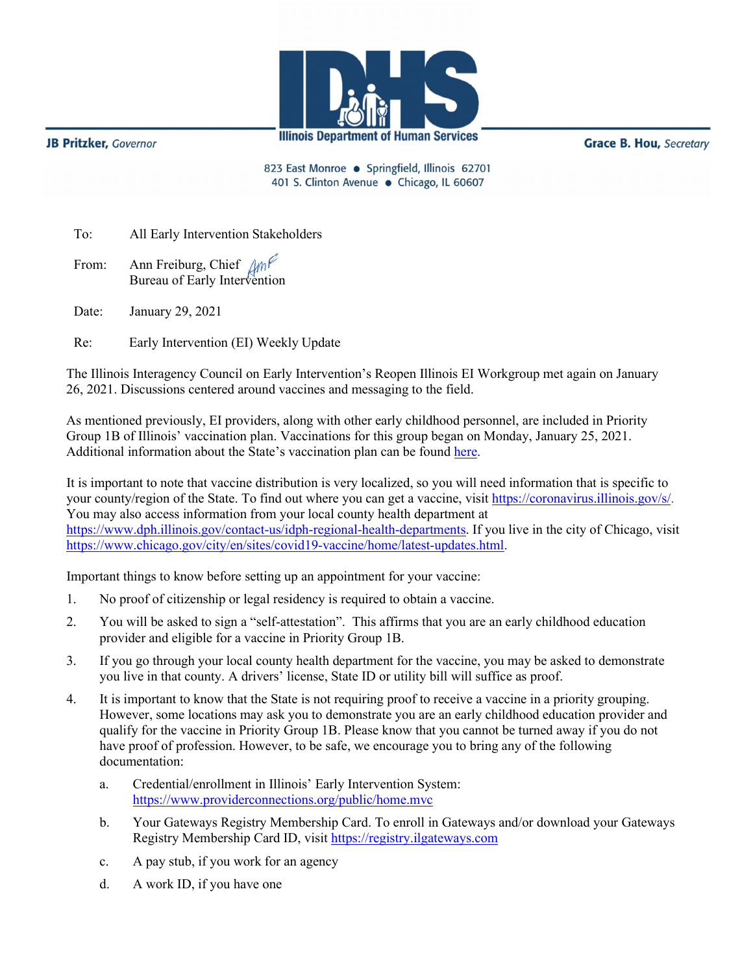

**JB Pritzker**, Governor

**Grace B. Hou, Secretary** 

823 East Monroe · Springfield, Illinois 62701 401 S. Clinton Avenue · Chicago, IL 60607

To: All Early Intervention Stakeholders

From: Ann Freiburg, Chief Am Bureau of Early Intervention

Date: January 29, 2021

Re: Early Intervention (EI) Weekly Update

The Illinois Interagency Council on Early Intervention's Reopen Illinois EI Workgroup met again on January 26, 2021. Discussions centered around vaccines and messaging to the field.

As mentioned previously, EI providers, along with other early childhood personnel, are included in Priority Group 1B of Illinois' vaccination plan. Vaccinations for this group began on Monday, January 25, 2021. Additional information about the State's vaccination plan can be found [here.](http://dph.illinois.gov/sites/default/files/Phases%201A%20and%201B%20of%20Vaccine%20Distribution%20in%20Illinois.pdf)

It is important to note that vaccine distribution is very localized, so you will need information that is specific to your county/region of the State. To find out where you can get a vaccine, visit [https://coronavirus.illinois.gov/s/.](https://coronavirus.illinois.gov/s/) You may also access information from your local county health department at [https://www.dph.illinois.gov/contact-us/idph-regional-health-departments.](https://www.dph.illinois.gov/contact-us/idph-regional-health-departments) If you live in the city of Chicago, visit [https://www.chicago.gov/city/en/sites/covid19-vaccine/home/latest-updates.html.](https://www.chicago.gov/city/en/sites/covid19-vaccine/home/latest-updates.html)

Important things to know before setting up an appointment for your vaccine:

- 1. No proof of citizenship or legal residency is required to obtain a vaccine.
- 2. You will be asked to sign a "self-attestation". This affirms that you are an early childhood education provider and eligible for a vaccine in Priority Group 1B.
- 3. If you go through your local county health department for the vaccine, you may be asked to demonstrate you live in that county. A drivers' license, State ID or utility bill will suffice as proof.
- 4. It is important to know that the State is not requiring proof to receive a vaccine in a priority grouping. However, some locations may ask you to demonstrate you are an early childhood education provider and qualify for the vaccine in Priority Group 1B. Please know that you cannot be turned away if you do not have proof of profession. However, to be safe, we encourage you to bring any of the following documentation:
	- a. Credential/enrollment in Illinois' Early Intervention System: <https://www.providerconnections.org/public/home.mvc>
	- b. Your Gateways Registry Membership Card. To enroll in Gateways and/or download your Gateways Registry Membership Card ID, visit [https://registry.ilgateways.com](https://registry.ilgateways.com/)
	- c. A pay stub, if you work for an agency
	- d. A work ID, if you have one